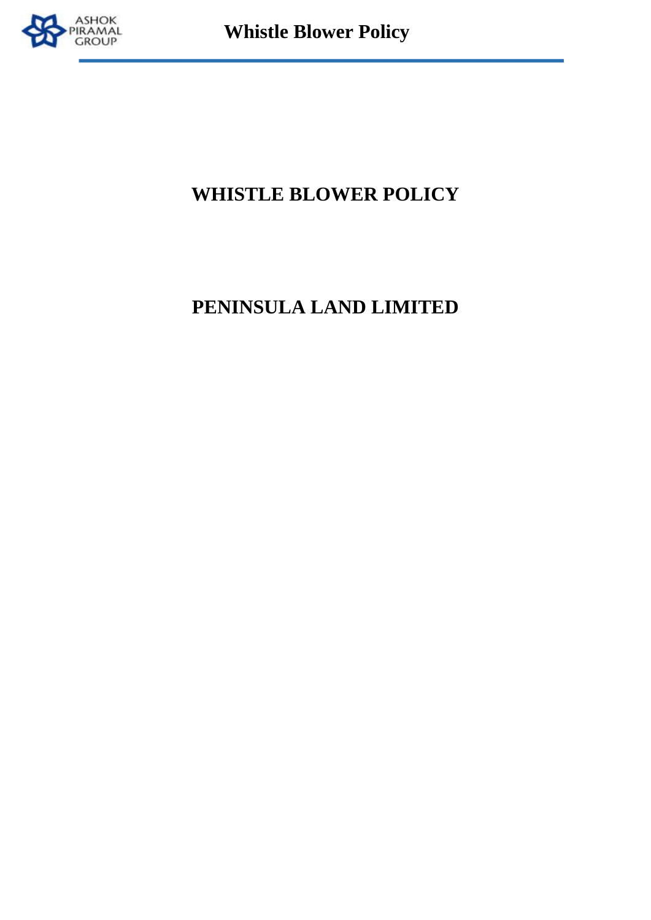

## **WHISTLE BLOWER POLICY**

# **PENINSULA LAND LIMITED**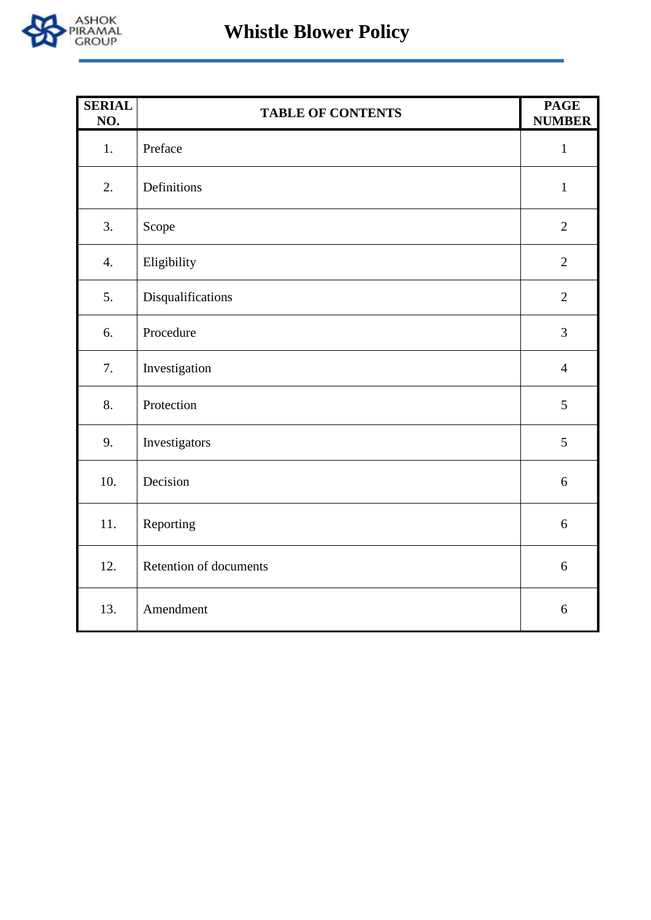

| <b>SERIAL</b><br>NO. | <b>TABLE OF CONTENTS</b> | <b>PAGE</b><br><b>NUMBER</b> |
|----------------------|--------------------------|------------------------------|
| 1.                   | Preface                  | $\mathbf{1}$                 |
| 2.                   | Definitions              | $\mathbf{1}$                 |
| 3.                   | Scope                    | $\mathbf{2}$                 |
| 4.                   | Eligibility              | $\mathbf{2}$                 |
| 5.                   | Disqualifications        | $\overline{2}$               |
| 6.                   | Procedure                | 3                            |
| 7.                   | Investigation            | $\overline{4}$               |
| 8.                   | Protection               | 5                            |
| 9.                   | Investigators            | 5                            |
| 10.                  | Decision                 | 6                            |
| 11.                  | Reporting                | 6                            |
| 12.                  | Retention of documents   | 6                            |
| 13.                  | Amendment                | 6                            |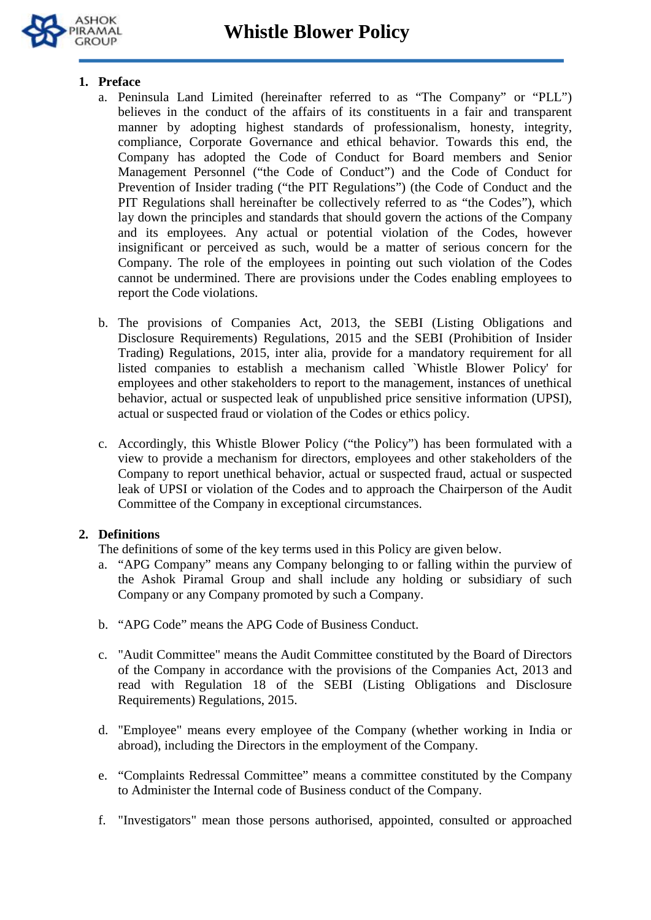

## **1. Preface**

- a. Peninsula Land Limited (hereinafter referred to as "The Company" or "PLL") believes in the conduct of the affairs of its constituents in a fair and transparent manner by adopting highest standards of professionalism, honesty, integrity, compliance, Corporate Governance and ethical behavior. Towards this end, the Company has adopted the Code of Conduct for Board members and Senior Management Personnel ("the Code of Conduct") and the Code of Conduct for Prevention of Insider trading ("the PIT Regulations") (the Code of Conduct and the PIT Regulations shall hereinafter be collectively referred to as "the Codes"), which lay down the principles and standards that should govern the actions of the Company and its employees. Any actual or potential violation of the Codes, however insignificant or perceived as such, would be a matter of serious concern for the Company. The role of the employees in pointing out such violation of the Codes cannot be undermined. There are provisions under the Codes enabling employees to report the Code violations.
- b. The provisions of Companies Act, 2013, the SEBI (Listing Obligations and Disclosure Requirements) Regulations, 2015 and the SEBI (Prohibition of Insider Trading) Regulations, 2015, inter alia, provide for a mandatory requirement for all listed companies to establish a mechanism called `Whistle Blower Policy' for employees and other stakeholders to report to the management, instances of unethical behavior, actual or suspected leak of unpublished price sensitive information (UPSI), actual or suspected fraud or violation of the Codes or ethics policy.
- c. Accordingly, this Whistle Blower Policy ("the Policy") has been formulated with a view to provide a mechanism for directors, employees and other stakeholders of the Company to report unethical behavior, actual or suspected fraud, actual or suspected leak of UPSI or violation of the Codes and to approach the Chairperson of the Audit Committee of the Company in exceptional circumstances.

## **2. Definitions**

The definitions of some of the key terms used in this Policy are given below.

- a. "APG Company" means any Company belonging to or falling within the purview of the Ashok Piramal Group and shall include any holding or subsidiary of such Company or any Company promoted by such a Company.
- b. "APG Code" means the APG Code of Business Conduct.
- c. "Audit Committee" means the Audit Committee constituted by the Board of Directors of the Company in accordance with the provisions of the Companies Act, 2013 and read with Regulation 18 of the SEBI (Listing Obligations and Disclosure Requirements) Regulations, 2015.
- d. "Employee" means every employee of the Company (whether working in India or abroad), including the Directors in the employment of the Company.
- e. "Complaints Redressal Committee" means a committee constituted by the Company to Administer the Internal code of Business conduct of the Company.
- f. "Investigators" mean those persons authorised, appointed, consulted or approached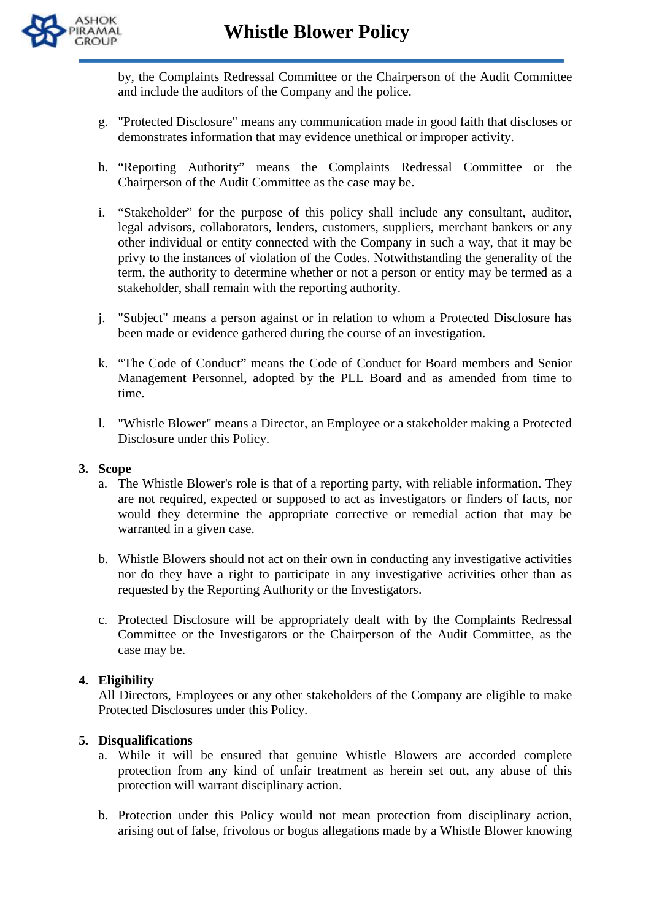

by, the Complaints Redressal Committee or the Chairperson of the Audit Committee and include the auditors of the Company and the police.

- g. "Protected Disclosure" means any communication made in good faith that discloses or demonstrates information that may evidence unethical or improper activity.
- h. "Reporting Authority" means the Complaints Redressal Committee or the Chairperson of the Audit Committee as the case may be.
- i. "Stakeholder" for the purpose of this policy shall include any consultant, auditor, legal advisors, collaborators, lenders, customers, suppliers, merchant bankers or any other individual or entity connected with the Company in such a way, that it may be privy to the instances of violation of the Codes. Notwithstanding the generality of the term, the authority to determine whether or not a person or entity may be termed as a stakeholder, shall remain with the reporting authority.
- j. "Subject" means a person against or in relation to whom a Protected Disclosure has been made or evidence gathered during the course of an investigation.
- k. "The Code of Conduct" means the Code of Conduct for Board members and Senior Management Personnel, adopted by the PLL Board and as amended from time to time.
- l. "Whistle Blower" means a Director, an Employee or a stakeholder making a Protected Disclosure under this Policy.

## **3. Scope**

- a. The Whistle Blower's role is that of a reporting party, with reliable information. They are not required, expected or supposed to act as investigators or finders of facts, nor would they determine the appropriate corrective or remedial action that may be warranted in a given case.
- b. Whistle Blowers should not act on their own in conducting any investigative activities nor do they have a right to participate in any investigative activities other than as requested by the Reporting Authority or the Investigators.
- c. Protected Disclosure will be appropriately dealt with by the Complaints Redressal Committee or the Investigators or the Chairperson of the Audit Committee, as the case may be.

## **4. Eligibility**

All Directors, Employees or any other stakeholders of the Company are eligible to make Protected Disclosures under this Policy.

#### **5. Disqualifications**

- a. While it will be ensured that genuine Whistle Blowers are accorded complete protection from any kind of unfair treatment as herein set out, any abuse of this protection will warrant disciplinary action.
- b. Protection under this Policy would not mean protection from disciplinary action, arising out of false, frivolous or bogus allegations made by a Whistle Blower knowing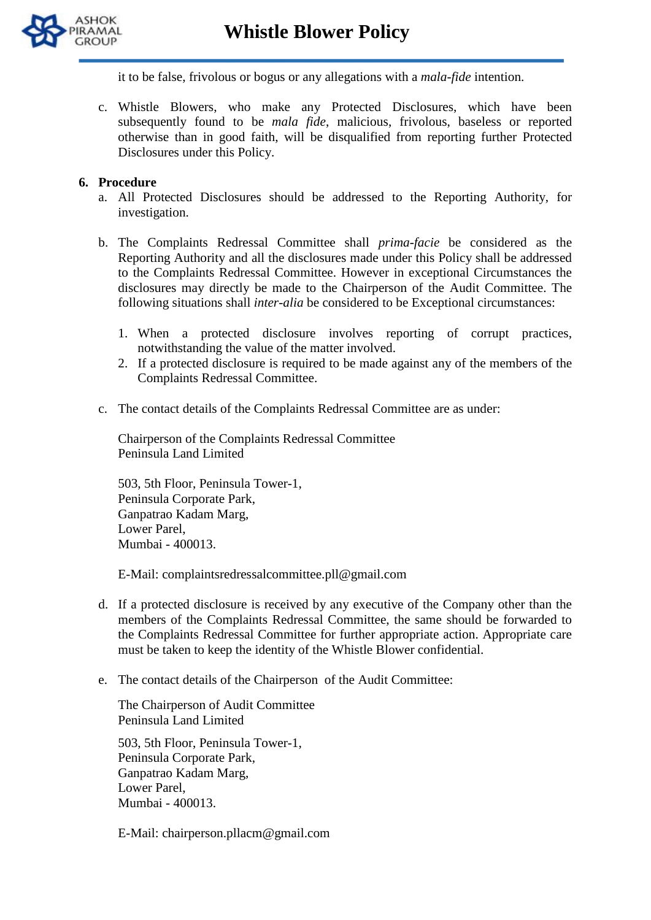

it to be false, frivolous or bogus or any allegations with a *mala-fide* intention.

c. Whistle Blowers, who make any Protected Disclosures, which have been subsequently found to be *mala fide*, malicious, frivolous, baseless or reported otherwise than in good faith, will be disqualified from reporting further Protected Disclosures under this Policy.

#### **6. Procedure**

- a. All Protected Disclosures should be addressed to the Reporting Authority, for investigation.
- b. The Complaints Redressal Committee shall *prima-facie* be considered as the Reporting Authority and all the disclosures made under this Policy shall be addressed to the Complaints Redressal Committee. However in exceptional Circumstances the disclosures may directly be made to the Chairperson of the Audit Committee. The following situations shall *inter-alia* be considered to be Exceptional circumstances:
	- 1. When a protected disclosure involves reporting of corrupt practices, notwithstanding the value of the matter involved.
	- 2. If a protected disclosure is required to be made against any of the members of the Complaints Redressal Committee.
- c. The contact details of the Complaints Redressal Committee are as under:

Chairperson of the Complaints Redressal Committee Peninsula Land Limited

503, 5th Floor, Peninsula Tower-1, Peninsula Corporate Park, Ganpatrao Kadam Marg, Lower Parel, Mumbai - 400013.

E-Mail: complaintsredressalcommittee.pll@gmail.com

- d. If a protected disclosure is received by any executive of the Company other than the members of the Complaints Redressal Committee, the same should be forwarded to the Complaints Redressal Committee for further appropriate action. Appropriate care must be taken to keep the identity of the Whistle Blower confidential.
- e. The contact details of the Chairperson of the Audit Committee:

The Chairperson of Audit Committee Peninsula Land Limited

503, 5th Floor, Peninsula Tower-1, Peninsula Corporate Park, Ganpatrao Kadam Marg, Lower Parel, Mumbai - 400013.

E-Mail: chairperson.pllacm@gmail.com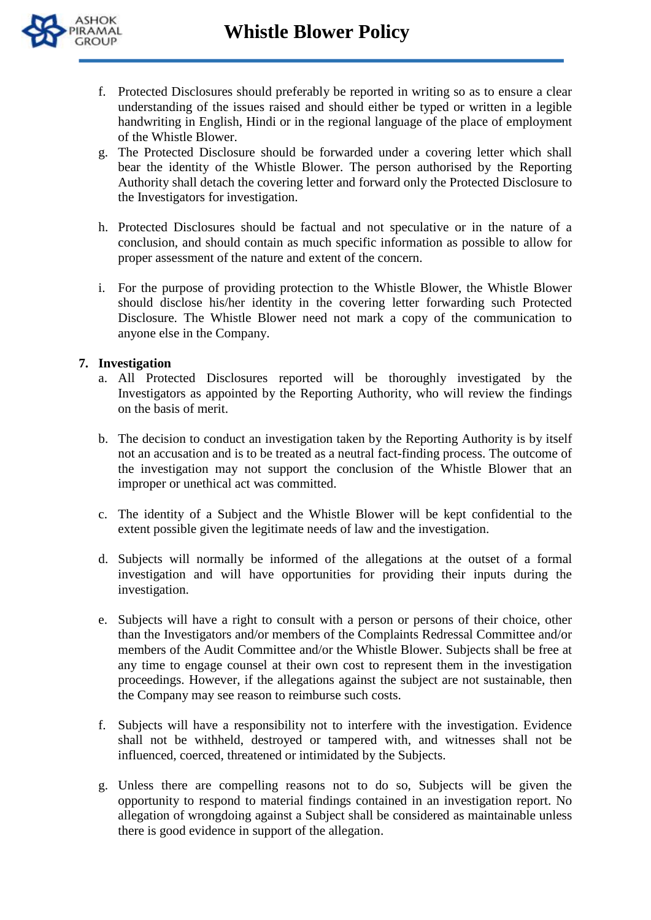



- f. Protected Disclosures should preferably be reported in writing so as to ensure a clear understanding of the issues raised and should either be typed or written in a legible handwriting in English, Hindi or in the regional language of the place of employment of the Whistle Blower.
- g. The Protected Disclosure should be forwarded under a covering letter which shall bear the identity of the Whistle Blower. The person authorised by the Reporting Authority shall detach the covering letter and forward only the Protected Disclosure to the Investigators for investigation.
- h. Protected Disclosures should be factual and not speculative or in the nature of a conclusion, and should contain as much specific information as possible to allow for proper assessment of the nature and extent of the concern.
- i. For the purpose of providing protection to the Whistle Blower, the Whistle Blower should disclose his/her identity in the covering letter forwarding such Protected Disclosure. The Whistle Blower need not mark a copy of the communication to anyone else in the Company.

#### **7. Investigation**

- a. All Protected Disclosures reported will be thoroughly investigated by the Investigators as appointed by the Reporting Authority, who will review the findings on the basis of merit.
- b. The decision to conduct an investigation taken by the Reporting Authority is by itself not an accusation and is to be treated as a neutral fact-finding process. The outcome of the investigation may not support the conclusion of the Whistle Blower that an improper or unethical act was committed.
- c. The identity of a Subject and the Whistle Blower will be kept confidential to the extent possible given the legitimate needs of law and the investigation.
- d. Subjects will normally be informed of the allegations at the outset of a formal investigation and will have opportunities for providing their inputs during the investigation.
- e. Subjects will have a right to consult with a person or persons of their choice, other than the Investigators and/or members of the Complaints Redressal Committee and/or members of the Audit Committee and/or the Whistle Blower. Subjects shall be free at any time to engage counsel at their own cost to represent them in the investigation proceedings. However, if the allegations against the subject are not sustainable, then the Company may see reason to reimburse such costs.
- f. Subjects will have a responsibility not to interfere with the investigation. Evidence shall not be withheld, destroyed or tampered with, and witnesses shall not be influenced, coerced, threatened or intimidated by the Subjects.
- g. Unless there are compelling reasons not to do so, Subjects will be given the opportunity to respond to material findings contained in an investigation report. No allegation of wrongdoing against a Subject shall be considered as maintainable unless there is good evidence in support of the allegation.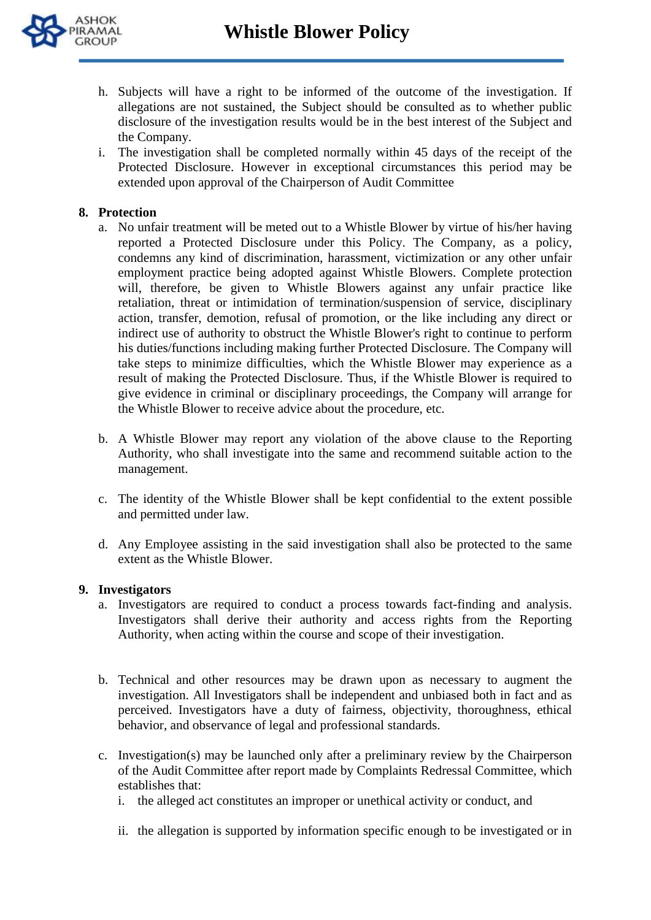

- h. Subjects will have a right to be informed of the outcome of the investigation. If allegations are not sustained, the Subject should be consulted as to whether public disclosure of the investigation results would be in the best interest of the Subject and the Company.
- i. The investigation shall be completed normally within 45 days of the receipt of the Protected Disclosure. However in exceptional circumstances this period may be extended upon approval of the Chairperson of Audit Committee

#### **8. Protection**

- a. No unfair treatment will be meted out to a Whistle Blower by virtue of his/her having reported a Protected Disclosure under this Policy. The Company, as a policy, condemns any kind of discrimination, harassment, victimization or any other unfair employment practice being adopted against Whistle Blowers. Complete protection will, therefore, be given to Whistle Blowers against any unfair practice like retaliation, threat or intimidation of termination/suspension of service, disciplinary action, transfer, demotion, refusal of promotion, or the like including any direct or indirect use of authority to obstruct the Whistle Blower's right to continue to perform his duties/functions including making further Protected Disclosure. The Company will take steps to minimize difficulties, which the Whistle Blower may experience as a result of making the Protected Disclosure. Thus, if the Whistle Blower is required to give evidence in criminal or disciplinary proceedings, the Company will arrange for the Whistle Blower to receive advice about the procedure, etc.
- b. A Whistle Blower may report any violation of the above clause to the Reporting Authority, who shall investigate into the same and recommend suitable action to the management.
- c. The identity of the Whistle Blower shall be kept confidential to the extent possible and permitted under law.
- d. Any Employee assisting in the said investigation shall also be protected to the same extent as the Whistle Blower.

#### **9. Investigators**

- a. Investigators are required to conduct a process towards fact-finding and analysis. Investigators shall derive their authority and access rights from the Reporting Authority, when acting within the course and scope of their investigation.
- b. Technical and other resources may be drawn upon as necessary to augment the investigation. All Investigators shall be independent and unbiased both in fact and as perceived. Investigators have a duty of fairness, objectivity, thoroughness, ethical behavior, and observance of legal and professional standards.
- c. Investigation(s) may be launched only after a preliminary review by the Chairperson of the Audit Committee after report made by Complaints Redressal Committee, which establishes that:
	- i. the alleged act constitutes an improper or unethical activity or conduct, and
	- ii. the allegation is supported by information specific enough to be investigated or in